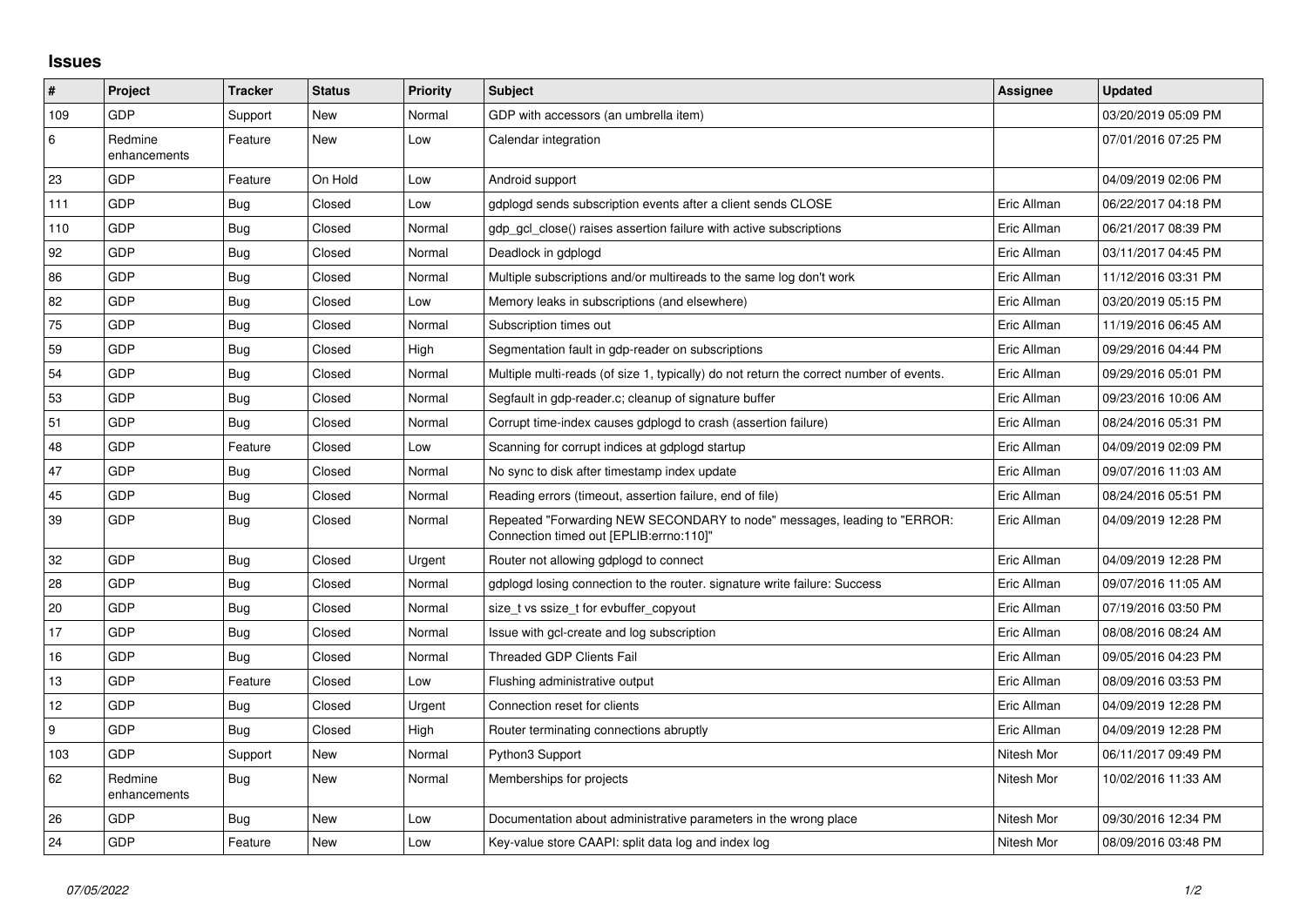## **Issues**

| $\sharp$ | Project                 | <b>Tracker</b> | <b>Status</b> | <b>Priority</b> | <b>Subject</b>                                                                                                      | <b>Assignee</b> | <b>Updated</b>      |
|----------|-------------------------|----------------|---------------|-----------------|---------------------------------------------------------------------------------------------------------------------|-----------------|---------------------|
| 109      | <b>GDP</b>              | Support        | New           | Normal          | GDP with accessors (an umbrella item)                                                                               |                 | 03/20/2019 05:09 PM |
| 6        | Redmine<br>enhancements | Feature        | <b>New</b>    | Low             | Calendar integration                                                                                                |                 | 07/01/2016 07:25 PM |
| 23       | GDP                     | Feature        | On Hold       | Low             | Android support                                                                                                     |                 | 04/09/2019 02:06 PM |
| 111      | GDP                     | Bug            | Closed        | Low             | gdplogd sends subscription events after a client sends CLOSE                                                        | Eric Allman     | 06/22/2017 04:18 PM |
| 110      | <b>GDP</b>              | <b>Bug</b>     | Closed        | Normal          | gdp gcl close() raises assertion failure with active subscriptions                                                  | Eric Allman     | 06/21/2017 08:39 PM |
| 92       | GDP                     | <b>Bug</b>     | Closed        | Normal          | Deadlock in gdplogd                                                                                                 | Eric Allman     | 03/11/2017 04:45 PM |
| 86       | GDP                     | Bug            | Closed        | Normal          | Multiple subscriptions and/or multireads to the same log don't work                                                 | Eric Allman     | 11/12/2016 03:31 PM |
| 82       | <b>GDP</b>              | Bug            | Closed        | Low             | Memory leaks in subscriptions (and elsewhere)                                                                       | Eric Allman     | 03/20/2019 05:15 PM |
| 75       | GDP                     | <b>Bug</b>     | Closed        | Normal          | Subscription times out                                                                                              | Eric Allman     | 11/19/2016 06:45 AM |
| 59       | GDP                     | Bug            | Closed        | High            | Segmentation fault in gdp-reader on subscriptions                                                                   | Eric Allman     | 09/29/2016 04:44 PM |
| 54       | <b>GDP</b>              | <b>Bug</b>     | Closed        | Normal          | Multiple multi-reads (of size 1, typically) do not return the correct number of events.                             | Eric Allman     | 09/29/2016 05:01 PM |
| 53       | GDP                     | Bug            | Closed        | Normal          | Segfault in gdp-reader.c; cleanup of signature buffer                                                               | Eric Allman     | 09/23/2016 10:06 AM |
| 51       | GDP                     | Bug            | Closed        | Normal          | Corrupt time-index causes gdplogd to crash (assertion failure)                                                      | Eric Allman     | 08/24/2016 05:31 PM |
| 48       | GDP                     | Feature        | Closed        | Low             | Scanning for corrupt indices at gdplogd startup                                                                     | Eric Allman     | 04/09/2019 02:09 PM |
| 47       | GDP                     | Bug            | Closed        | Normal          | No sync to disk after timestamp index update                                                                        | Eric Allman     | 09/07/2016 11:03 AM |
| 45       | GDP                     | <b>Bug</b>     | Closed        | Normal          | Reading errors (timeout, assertion failure, end of file)                                                            | Eric Allman     | 08/24/2016 05:51 PM |
| 39       | GDP                     | <b>Bug</b>     | Closed        | Normal          | Repeated "Forwarding NEW SECONDARY to node" messages, leading to "ERROR:<br>Connection timed out [EPLIB:errno:110]" | Eric Allman     | 04/09/2019 12:28 PM |
| 32       | <b>GDP</b>              | Bug            | Closed        | Urgent          | Router not allowing gdplogd to connect                                                                              | Eric Allman     | 04/09/2019 12:28 PM |
| 28       | GDP                     | <b>Bug</b>     | Closed        | Normal          | gdplogd losing connection to the router. signature write failure: Success                                           | Eric Allman     | 09/07/2016 11:05 AM |
| 20       | GDP                     | Bug            | Closed        | Normal          | size_t vs ssize_t for evbuffer_copyout                                                                              | Eric Allman     | 07/19/2016 03:50 PM |
| 17       | <b>GDP</b>              | Bug            | Closed        | Normal          | Issue with gcl-create and log subscription                                                                          | Eric Allman     | 08/08/2016 08:24 AM |
| 16       | GDP                     | Bug            | Closed        | Normal          | <b>Threaded GDP Clients Fail</b>                                                                                    | Eric Allman     | 09/05/2016 04:23 PM |
| 13       | GDP                     | Feature        | Closed        | Low             | Flushing administrative output                                                                                      | Eric Allman     | 08/09/2016 03:53 PM |
| 12       | <b>GDP</b>              | Bug            | Closed        | Urgent          | Connection reset for clients                                                                                        | Eric Allman     | 04/09/2019 12:28 PM |
| 9        | GDP                     | Bug            | Closed        | High            | Router terminating connections abruptly                                                                             | Eric Allman     | 04/09/2019 12:28 PM |
| 103      | GDP                     | Support        | New           | Normal          | Python3 Support                                                                                                     | Nitesh Mor      | 06/11/2017 09:49 PM |
| 62       | Redmine<br>enhancements | Bug            | New           | Normal          | Memberships for projects                                                                                            | Nitesh Mor      | 10/02/2016 11:33 AM |
| 26       | <b>GDP</b>              | Bug            | New           | Low             | Documentation about administrative parameters in the wrong place                                                    | Nitesh Mor      | 09/30/2016 12:34 PM |
| 24       | GDP                     | Feature        | New           | Low             | Key-value store CAAPI: split data log and index log                                                                 | Nitesh Mor      | 08/09/2016 03:48 PM |